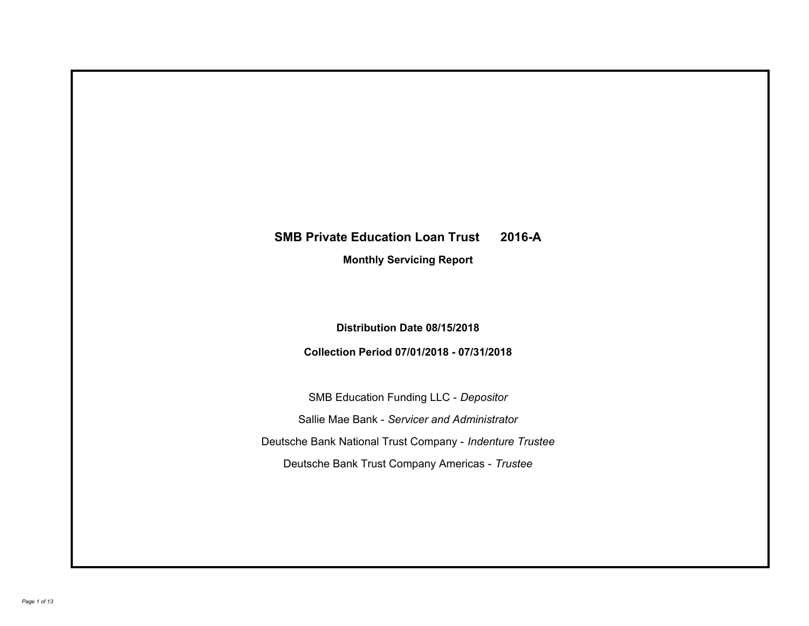# **SMB Private Education Loan Trust 2016-A**

**Monthly Servicing Report**

**Distribution Date 08/15/2018**

**Collection Period 07/01/2018 - 07/31/2018**

SMB Education Funding LLC - *Depositor* Sallie Mae Bank - *Servicer and Administrator* Deutsche Bank National Trust Company - *Indenture Trustee* Deutsche Bank Trust Company Americas - *Trustee*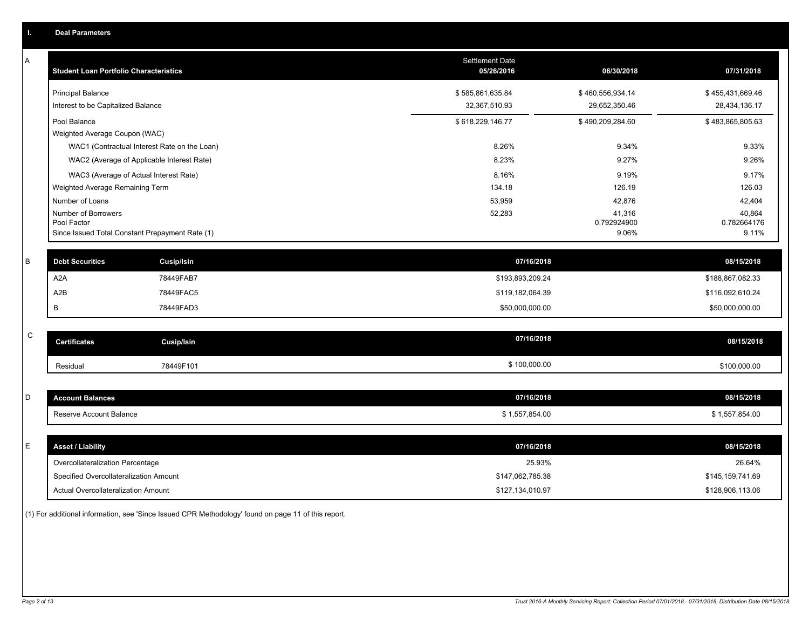|             | <b>Deal Parameters</b>                                         |                                                                                            |                                     |                                          |                                          |
|-------------|----------------------------------------------------------------|--------------------------------------------------------------------------------------------|-------------------------------------|------------------------------------------|------------------------------------------|
| A           | <b>Student Loan Portfolio Characteristics</b>                  |                                                                                            | Settlement Date<br>05/26/2016       | 06/30/2018                               | 07/31/2018                               |
|             | <b>Principal Balance</b><br>Interest to be Capitalized Balance |                                                                                            | \$585,861,635.84<br>32,367,510.93   | \$460,556,934.14<br>29,652,350.46        | \$455,431,669.46<br>28,434,136.17        |
|             | Pool Balance<br>Weighted Average Coupon (WAC)                  |                                                                                            | \$618,229,146.77                    | \$490,209,284.60                         | \$483,865,805.63                         |
|             |                                                                | WAC1 (Contractual Interest Rate on the Loan)<br>WAC2 (Average of Applicable Interest Rate) | 8.26%<br>8.23%                      | 9.34%<br>9.27%                           | 9.33%<br>9.26%                           |
|             | Weighted Average Remaining Term                                | WAC3 (Average of Actual Interest Rate)                                                     | 8.16%<br>134.18                     | 9.19%<br>126.19                          | 9.17%<br>126.03                          |
|             | Number of Loans<br>Number of Borrowers<br>Pool Factor          | Since Issued Total Constant Prepayment Rate (1)                                            | 53,959<br>52,283                    | 42,876<br>41,316<br>0.792924900<br>9.06% | 42,404<br>40,864<br>0.782664176<br>9.11% |
| B           | <b>Debt Securities</b>                                         | <b>Cusip/Isin</b>                                                                          | 07/16/2018                          |                                          | 08/15/2018                               |
|             | A <sub>2</sub> A                                               | 78449FAB7                                                                                  | \$193,893,209.24                    |                                          | \$188,867,082.33                         |
|             | A2B<br>B                                                       | 78449FAC5<br>78449FAD3                                                                     | \$119,182,064.39<br>\$50,000,000.00 |                                          | \$116,092,610.24<br>\$50,000,000.00      |
|             |                                                                |                                                                                            |                                     |                                          |                                          |
| $\mathbf C$ | <b>Certificates</b>                                            | <b>Cusip/Isin</b>                                                                          | 07/16/2018                          |                                          | 08/15/2018                               |
|             | Residual                                                       | 78449F101                                                                                  | \$100,000.00                        |                                          | \$100,000.00                             |
| D           | <b>Account Balances</b>                                        |                                                                                            | 07/16/2018                          |                                          | 08/15/2018                               |
|             | Reserve Account Balance                                        |                                                                                            | \$1,557,854.00                      |                                          | \$1,557,854.00                           |
| E           | <b>Asset / Liability</b>                                       |                                                                                            | 07/16/2018                          |                                          | 08/15/2018                               |
|             | Overcollateralization Percentage                               |                                                                                            | 25.93%                              |                                          | 26.64%                                   |
|             | Specified Overcollateralization Amount                         |                                                                                            | \$147,062,785.38                    |                                          | \$145,159,741.69                         |
|             | Actual Overcollateralization Amount                            |                                                                                            | \$127,134,010.97                    |                                          | \$128,906,113.06                         |

(1) For additional information, see 'Since Issued CPR Methodology' found on page 11 of this report.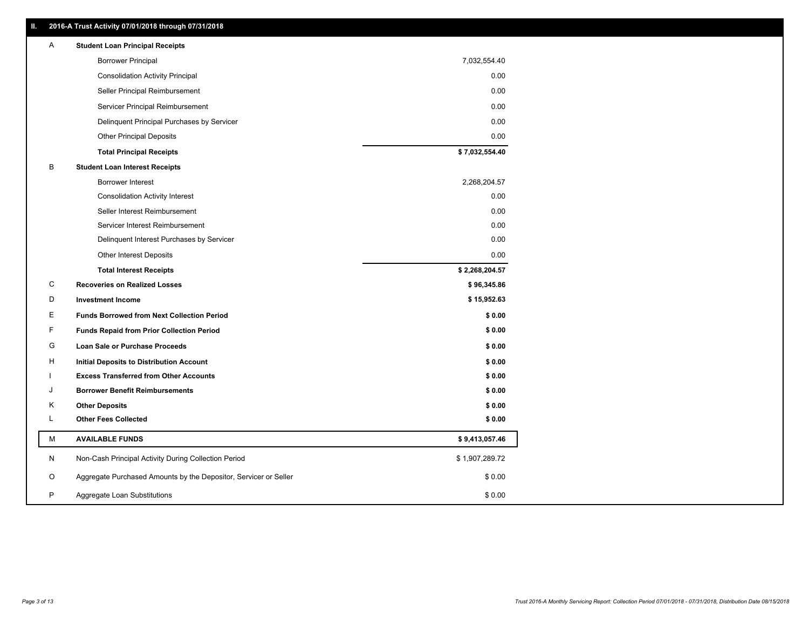| Ш. | 2016-A Trust Activity 07/01/2018 through 07/31/2018              |                |
|----|------------------------------------------------------------------|----------------|
| A  | <b>Student Loan Principal Receipts</b>                           |                |
|    | <b>Borrower Principal</b>                                        | 7,032,554.40   |
|    | <b>Consolidation Activity Principal</b>                          | 0.00           |
|    | Seller Principal Reimbursement                                   | 0.00           |
|    | Servicer Principal Reimbursement                                 | 0.00           |
|    | Delinquent Principal Purchases by Servicer                       | 0.00           |
|    | <b>Other Principal Deposits</b>                                  | 0.00           |
|    | <b>Total Principal Receipts</b>                                  | \$7,032,554.40 |
| В  | <b>Student Loan Interest Receipts</b>                            |                |
|    | <b>Borrower Interest</b>                                         | 2,268,204.57   |
|    | <b>Consolidation Activity Interest</b>                           | 0.00           |
|    | Seller Interest Reimbursement                                    | 0.00           |
|    | Servicer Interest Reimbursement                                  | 0.00           |
|    | Delinquent Interest Purchases by Servicer                        | 0.00           |
|    | <b>Other Interest Deposits</b>                                   | 0.00           |
|    | <b>Total Interest Receipts</b>                                   | \$2,268,204.57 |
| C  | <b>Recoveries on Realized Losses</b>                             | \$96,345.86    |
| D  | <b>Investment Income</b>                                         | \$15,952.63    |
| Е  | <b>Funds Borrowed from Next Collection Period</b>                | \$0.00         |
| F  | <b>Funds Repaid from Prior Collection Period</b>                 | \$0.00         |
| G  | Loan Sale or Purchase Proceeds                                   | \$0.00         |
| н  | Initial Deposits to Distribution Account                         | \$0.00         |
|    | <b>Excess Transferred from Other Accounts</b>                    | \$0.00         |
|    |                                                                  |                |
| J  | <b>Borrower Benefit Reimbursements</b>                           | \$0.00         |
| Κ  | <b>Other Deposits</b>                                            | \$0.00         |
| L  | <b>Other Fees Collected</b>                                      | \$0.00         |
| М  | <b>AVAILABLE FUNDS</b>                                           | \$9,413,057.46 |
| N  | Non-Cash Principal Activity During Collection Period             | \$1,907,289.72 |
| O  | Aggregate Purchased Amounts by the Depositor, Servicer or Seller | \$0.00         |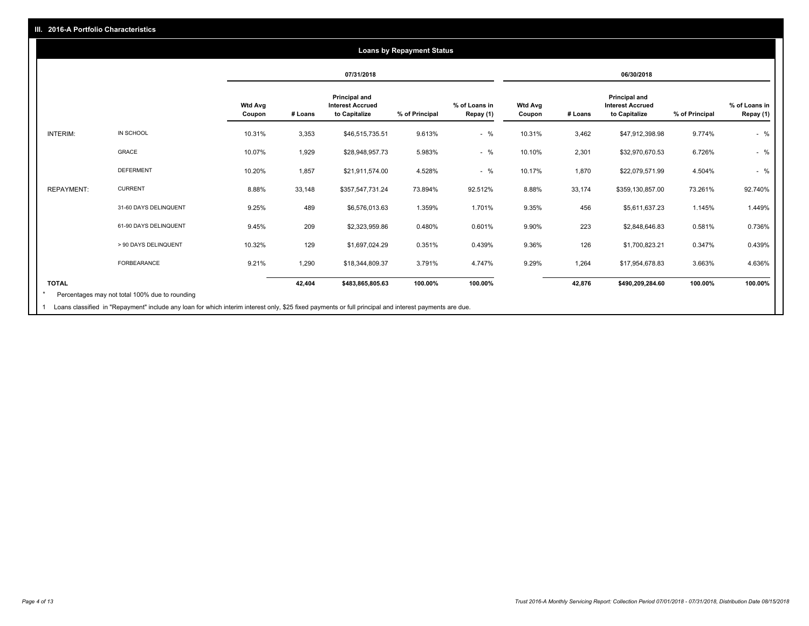### **07/31/2018 06/30/2018 Wtd Avg Coupon # Loans Principal and Interest Accrued to Capitalize % of Principal % of Loans in Repay (1) Wtd Avg Coupon # Loans Principal and Interest Accrued to Capitalize % of Principal % of Loans in Repay (1)**  INTERIM: IN SCHOOL 10.31% 3,353 \$46,515,735.51 9.613% - % 10.31% 3,462 \$47,912,398.98 9.774% - % GRACE 10.07% 1,929 \$28,948,957.73 5.983% - % 10.10% 2,301 \$32,970,670.53 6.726% - % DEFERMENT 10.20% 1,857 \$21,911,574.00 4.528% - % 10.17% 1,870 \$22,079,571.99 4.504% - % REPAYMENT: CURRENT 8.88% 33,148 \$357,547,731.24 73.894% 92.512% 8.88% 33,174 \$359,130,857.00 73.261% 92.740% 31-60 DAYS DELINQUENT 9.25% 489 \$6,576,013.63 1.359% 1.701% 9.35% 456 \$5,611,637.23 1.145% 1.449% 61-90 DAYS DELINQUENT 9.45% 209 \$2,323,959.86 0.480% 0.601% 9.90% 223 \$2,848,646.83 0.581% 0.736% > 90 DAYS DELINQUENT 10.32% 129 \$1,697,024.29 0.351% 0.439% 9.36% 126 \$1,700,823.21 0.347% 0.439% FORBEARANCE 9.21% 1,290 \$18,344,809.37 3.791% 4.747% 9.29% 1,264 \$17,954,678.83 3.663% 4.636% **TOTAL 42,404 \$483,865,805.63 100.00% 100.00% 42,876 \$490,209,284.60 100.00% 100.00% Loans by Repayment Status** Percentages may not total 100% due to rounding \*

Loans classified in "Repayment" include any loan for which interim interest only, \$25 fixed payments or full principal and interest payments are due. 1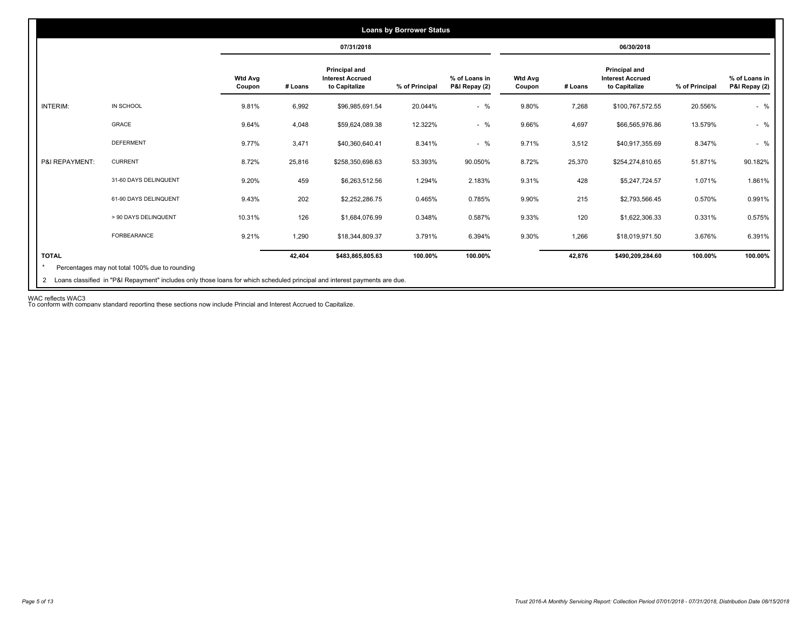|                 |                       |                          | 07/31/2018 |                                                           |                |                                |                          | 06/30/2018 |                                                           |                |                                |
|-----------------|-----------------------|--------------------------|------------|-----------------------------------------------------------|----------------|--------------------------------|--------------------------|------------|-----------------------------------------------------------|----------------|--------------------------------|
|                 |                       | <b>Wtd Avg</b><br>Coupon | # Loans    | Principal and<br><b>Interest Accrued</b><br>to Capitalize | % of Principal | % of Loans in<br>P&I Repay (2) | <b>Wtd Avg</b><br>Coupon | # Loans    | Principal and<br><b>Interest Accrued</b><br>to Capitalize | % of Principal | % of Loans in<br>P&I Repay (2) |
| <b>INTERIM:</b> | IN SCHOOL             | 9.81%                    | 6,992      | \$96,985,691.54                                           | 20.044%        | $-$ %                          | 9.80%                    | 7,268      | \$100,767,572.55                                          | 20.556%        | $-$ %                          |
|                 | GRACE                 | 9.64%                    | 4,048      | \$59,624,089.38                                           | 12.322%        | $-$ %                          | 9.66%                    | 4,697      | \$66,565,976.86                                           | 13.579%        | $-$ %                          |
|                 | <b>DEFERMENT</b>      | 9.77%                    | 3,471      | \$40,360,640.41                                           | 8.341%         | $-$ %                          | 9.71%                    | 3,512      | \$40,917,355.69                                           | 8.347%         | $-$ %                          |
| P&I REPAYMENT:  | <b>CURRENT</b>        | 8.72%                    | 25,816     | \$258,350,698.63                                          | 53.393%        | 90.050%                        | 8.72%                    | 25,370     | \$254,274,810.65                                          | 51.871%        | 90.182%                        |
|                 | 31-60 DAYS DELINQUENT | 9.20%                    | 459        | \$6,263,512.56                                            | 1.294%         | 2.183%                         | 9.31%                    | 428        | \$5,247,724.57                                            | 1.071%         | 1.861%                         |
|                 | 61-90 DAYS DELINQUENT | 9.43%                    | 202        | \$2,252,286.75                                            | 0.465%         | 0.785%                         | 9.90%                    | 215        | \$2,793,566.45                                            | 0.570%         | 0.991%                         |
|                 | > 90 DAYS DELINQUENT  | 10.31%                   | 126        | \$1,684,076.99                                            | 0.348%         | 0.587%                         | 9.33%                    | 120        | \$1,622,306.33                                            | 0.331%         | 0.575%                         |
|                 | <b>FORBEARANCE</b>    | 9.21%                    | 1,290      | \$18,344,809.37                                           | 3.791%         | 6.394%                         | 9.30%                    | 1,266      | \$18,019,971.50                                           | 3.676%         | 6.391%                         |
| <b>TOTAL</b>    |                       |                          | 42,404     | \$483,865,805.63                                          | 100.00%        | 100.00%                        |                          | 42,876     | \$490,209,284.60                                          | 100.00%        | 100.00%                        |

WAC reflects WAC3 To conform with company standard reporting these sections now include Princial and Interest Accrued to Capitalize.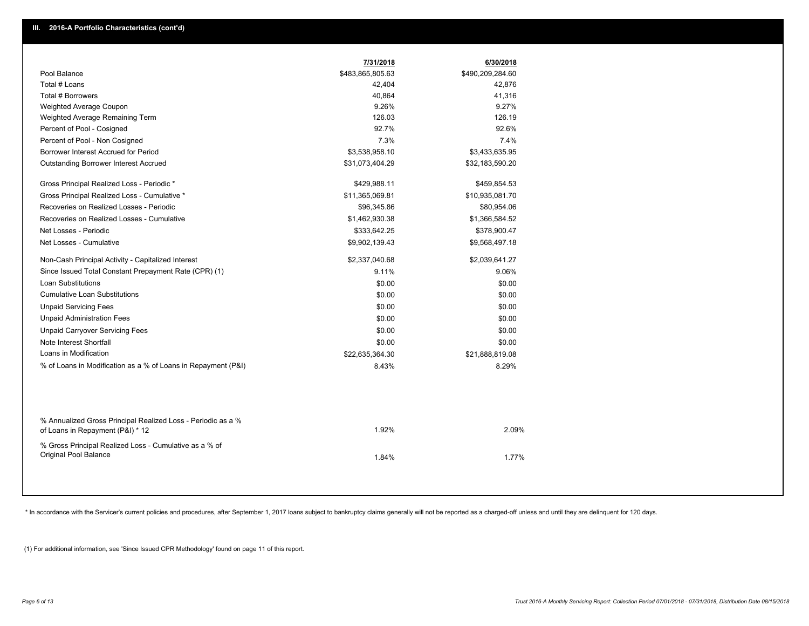|                                                                                                  | 7/31/2018        | 6/30/2018        |
|--------------------------------------------------------------------------------------------------|------------------|------------------|
| Pool Balance                                                                                     | \$483,865,805.63 | \$490,209,284.60 |
| Total # Loans                                                                                    | 42,404           | 42,876           |
| Total # Borrowers                                                                                | 40,864           | 41,316           |
| Weighted Average Coupon                                                                          | 9.26%            | 9.27%            |
| Weighted Average Remaining Term                                                                  | 126.03           | 126.19           |
| Percent of Pool - Cosigned                                                                       | 92.7%            | 92.6%            |
| Percent of Pool - Non Cosigned                                                                   | 7.3%             | 7.4%             |
| Borrower Interest Accrued for Period                                                             | \$3,538,958.10   | \$3,433,635.95   |
| Outstanding Borrower Interest Accrued                                                            | \$31,073,404.29  | \$32,183,590.20  |
| Gross Principal Realized Loss - Periodic *                                                       | \$429,988.11     | \$459,854.53     |
| Gross Principal Realized Loss - Cumulative *                                                     | \$11,365,069.81  | \$10,935,081.70  |
| Recoveries on Realized Losses - Periodic                                                         | \$96,345.86      | \$80,954.06      |
| Recoveries on Realized Losses - Cumulative                                                       | \$1,462,930.38   | \$1,366,584.52   |
| Net Losses - Periodic                                                                            | \$333,642.25     | \$378,900.47     |
| Net Losses - Cumulative                                                                          | \$9,902,139.43   | \$9,568,497.18   |
| Non-Cash Principal Activity - Capitalized Interest                                               | \$2,337,040.68   | \$2,039,641.27   |
| Since Issued Total Constant Prepayment Rate (CPR) (1)                                            | 9.11%            | 9.06%            |
| <b>Loan Substitutions</b>                                                                        | \$0.00           | \$0.00           |
| <b>Cumulative Loan Substitutions</b>                                                             | \$0.00           | \$0.00           |
| <b>Unpaid Servicing Fees</b>                                                                     | \$0.00           | \$0.00           |
| <b>Unpaid Administration Fees</b>                                                                | \$0.00           | \$0.00           |
| <b>Unpaid Carryover Servicing Fees</b>                                                           | \$0.00           | \$0.00           |
| Note Interest Shortfall                                                                          | \$0.00           | \$0.00           |
| Loans in Modification                                                                            | \$22,635,364.30  | \$21,888,819.08  |
| % of Loans in Modification as a % of Loans in Repayment (P&I)                                    | 8.43%            | 8.29%            |
|                                                                                                  |                  |                  |
| % Annualized Gross Principal Realized Loss - Periodic as a %<br>of Loans in Repayment (P&I) * 12 | 1.92%            | 2.09%            |
| % Gross Principal Realized Loss - Cumulative as a % of<br>Original Pool Balance                  | 1.84%            | 1.77%            |

\* In accordance with the Servicer's current policies and procedures, after September 1, 2017 loans subject to bankruptcy claims generally will not be reported as a charged-off unless and until they are delinquent for 120 d

(1) For additional information, see 'Since Issued CPR Methodology' found on page 11 of this report.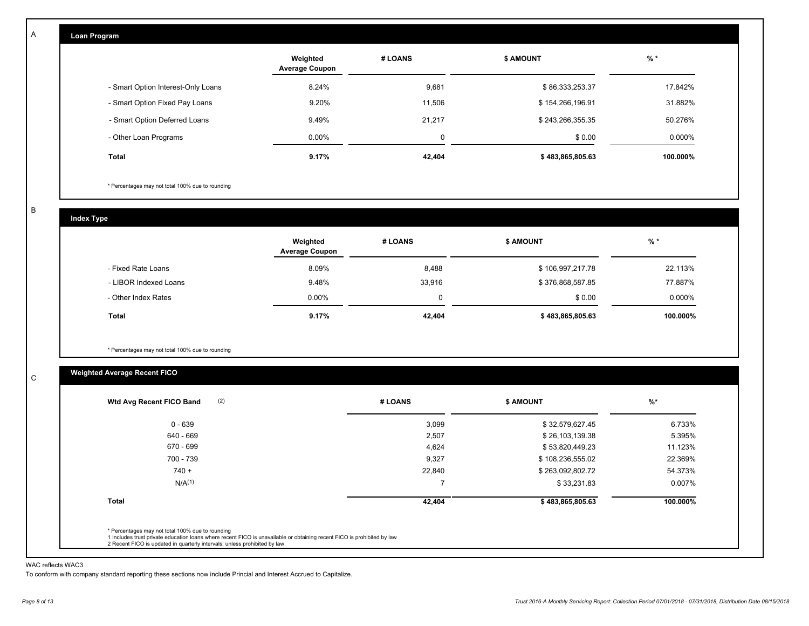| Loan Program                       |                                   |         |                  |          |
|------------------------------------|-----------------------------------|---------|------------------|----------|
|                                    | Weighted<br><b>Average Coupon</b> | # LOANS | <b>\$ AMOUNT</b> | $%$ *    |
| - Smart Option Interest-Only Loans | 8.24%                             | 9,681   | \$86,333,253.37  | 17.842%  |
| - Smart Option Fixed Pay Loans     | 9.20%                             | 11,506  | \$154,266,196.91 | 31.882%  |
| - Smart Option Deferred Loans      | 9.49%                             | 21.217  | \$243,266,355.35 | 50.276%  |
| - Other Loan Programs              | $0.00\%$                          | 0       | \$0.00           | 0.000%   |
| Total                              | 9.17%                             | 42,404  | \$483,865,805.63 | 100.000% |

\* Percentages may not total 100% due to rounding

B

C

A

| <b>Index Type</b>     |                                   |         |                  |          |
|-----------------------|-----------------------------------|---------|------------------|----------|
|                       | Weighted<br><b>Average Coupon</b> | # LOANS | <b>\$ AMOUNT</b> | $%$ *    |
| - Fixed Rate Loans    | 8.09%                             | 8,488   | \$106,997,217.78 | 22.113%  |
| - LIBOR Indexed Loans | 9.48%                             | 33,916  | \$376,868,587.85 | 77.887%  |
| - Other Index Rates   | $0.00\%$                          | 0       | \$0.00           | 0.000%   |
| Total                 | 9.17%                             | 42,404  | \$483,865,805.63 | 100.000% |

\* Percentages may not total 100% due to rounding

## **Weighted Average Recent FICO**

| (2)<br>Wtd Avg Recent FICO Band | # LOANS | <b>S AMOUNT</b>  | $%$ *    |
|---------------------------------|---------|------------------|----------|
| $0 - 639$                       | 3,099   | \$32,579,627.45  | 6.733%   |
| 640 - 669                       | 2,507   | \$26,103,139.38  | 5.395%   |
| 670 - 699                       | 4,624   | \$53,820,449.23  | 11.123%  |
| 700 - 739                       | 9,327   | \$108,236,555.02 | 22.369%  |
| $740 +$                         | 22,840  | \$263,092,802.72 | 54.373%  |
| N/A <sup>(1)</sup>              |         | \$33,231.83      | 0.007%   |
| Total                           | 42,404  | \$483,865,805.63 | 100.000% |

#### WAC reflects WAC3

To conform with company standard reporting these sections now include Princial and Interest Accrued to Capitalize.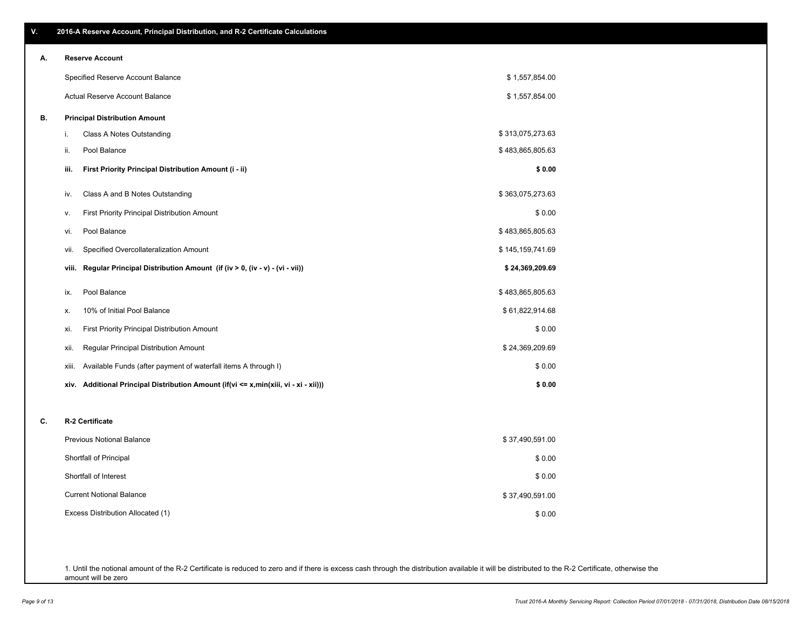\$ 0.00

\$ 37,490,591.00

\$ 0.00 \$ 0.00

| А. | <b>Reserve Account</b>                                                               |                  |
|----|--------------------------------------------------------------------------------------|------------------|
|    | Specified Reserve Account Balance                                                    | \$1,557,854.00   |
|    | Actual Reserve Account Balance                                                       | \$1,557,854.00   |
| В. | <b>Principal Distribution Amount</b>                                                 |                  |
|    | i.<br>Class A Notes Outstanding                                                      | \$313,075,273.63 |
|    | Pool Balance<br>ii.                                                                  | \$483,865,805.63 |
|    | First Priority Principal Distribution Amount (i - ii)<br>iii.                        | \$0.00           |
|    | Class A and B Notes Outstanding<br>iv.                                               | \$363,075,273.63 |
|    | First Priority Principal Distribution Amount<br>v.                                   | \$0.00           |
|    | Pool Balance<br>vi.                                                                  | \$483,865,805.63 |
|    | Specified Overcollateralization Amount<br>vii.                                       | \$145,159,741.69 |
|    | viii. Regular Principal Distribution Amount (if (iv > 0, (iv - v) - (vi - vii))      | \$24,369,209.69  |
|    | Pool Balance<br>ix.                                                                  | \$483,865,805.63 |
|    | 10% of Initial Pool Balance<br>х.                                                    | \$61,822,914.68  |
|    | First Priority Principal Distribution Amount<br>xi.                                  | \$0.00           |
|    | Regular Principal Distribution Amount<br>xii.                                        | \$24,369,209.69  |
|    | Available Funds (after payment of waterfall items A through I)<br>xiii.              | \$0.00           |
|    | xiv. Additional Principal Distribution Amount (if(vi <= x,min(xiii, vi - xi - xii))) | \$0.00           |
|    |                                                                                      |                  |
| C. | R-2 Certificate                                                                      |                  |
|    | <b>Previous Notional Balance</b>                                                     | \$37,490,591.00  |

Excess Distribution Allocated (1) Current Notional Balance

Shortfall of Interest Shortfall of Principal

1. Until the notional amount of the R-2 Certificate is reduced to zero and if there is excess cash through the distribution available it will be distributed to the R-2 Certificate, otherwise the amount will be zero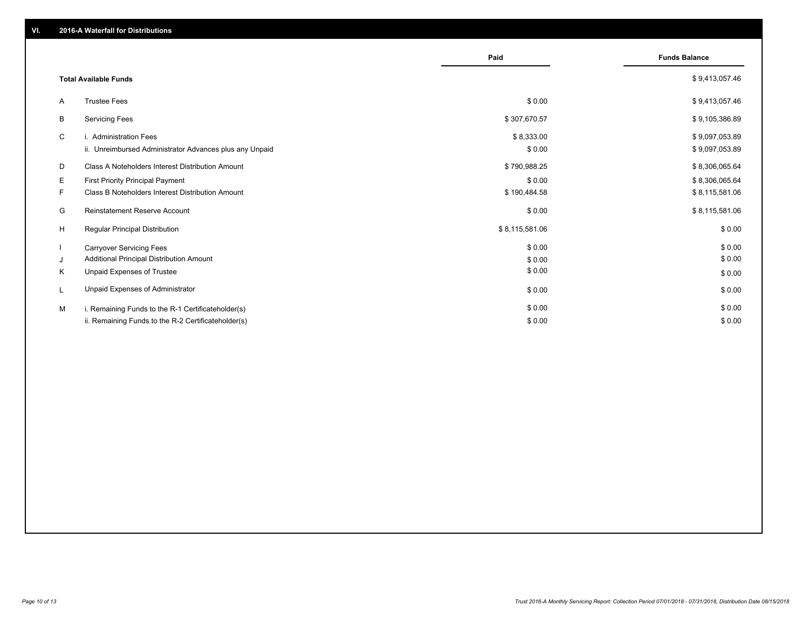|    |                                                         | Paid           | <b>Funds Balance</b> |
|----|---------------------------------------------------------|----------------|----------------------|
|    | <b>Total Available Funds</b>                            |                | \$9,413,057.46       |
| A  | <b>Trustee Fees</b>                                     | \$0.00         | \$9,413,057.46       |
| B  | <b>Servicing Fees</b>                                   | \$307,670.57   | \$9,105,386.89       |
| C  | i. Administration Fees                                  | \$8,333.00     | \$9,097,053.89       |
|    | ii. Unreimbursed Administrator Advances plus any Unpaid | \$0.00         | \$9,097,053.89       |
| D  | Class A Noteholders Interest Distribution Amount        | \$790,988.25   | \$8,306,065.64       |
| E. | <b>First Priority Principal Payment</b>                 | \$0.00         | \$8,306,065.64       |
| F  | Class B Noteholders Interest Distribution Amount        | \$190,484.58   | \$8,115,581.06       |
| G  | <b>Reinstatement Reserve Account</b>                    | \$0.00         | \$8,115,581.06       |
| H  | Regular Principal Distribution                          | \$8,115,581.06 | \$0.00               |
|    | <b>Carryover Servicing Fees</b>                         | \$0.00         | \$0.00               |
| J  | Additional Principal Distribution Amount                | \$0.00         | \$0.00               |
| Κ  | Unpaid Expenses of Trustee                              | \$0.00         | \$0.00               |
| L  | Unpaid Expenses of Administrator                        | \$0.00         | \$0.00               |
| M  | i. Remaining Funds to the R-1 Certificateholder(s)      | \$0.00         | \$0.00               |
|    | ii. Remaining Funds to the R-2 Certificateholder(s)     | \$0.00         | \$0.00               |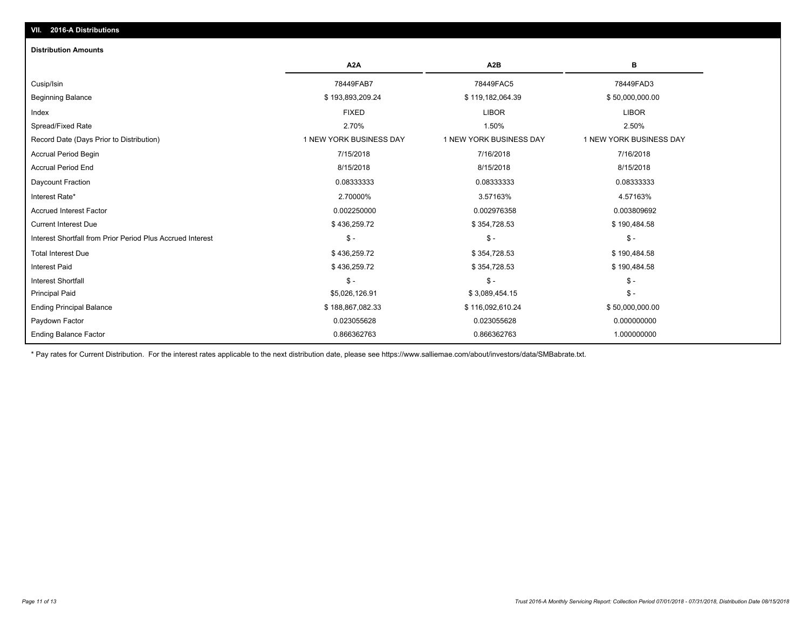## **VII. 2016-A Distributions**

#### **Distribution Amounts**

|                                                            | A <sub>2</sub> A        | A <sub>2</sub> B        | в                       |
|------------------------------------------------------------|-------------------------|-------------------------|-------------------------|
| Cusip/Isin                                                 | 78449FAB7               | 78449FAC5               | 78449FAD3               |
| <b>Beginning Balance</b>                                   | \$193,893,209.24        | \$119,182,064.39        | \$50,000,000.00         |
| Index                                                      | <b>FIXED</b>            | <b>LIBOR</b>            | <b>LIBOR</b>            |
| Spread/Fixed Rate                                          | 2.70%                   | 1.50%                   | 2.50%                   |
| Record Date (Days Prior to Distribution)                   | 1 NEW YORK BUSINESS DAY | 1 NEW YORK BUSINESS DAY | 1 NEW YORK BUSINESS DAY |
| <b>Accrual Period Begin</b>                                | 7/15/2018               | 7/16/2018               | 7/16/2018               |
| <b>Accrual Period End</b>                                  | 8/15/2018               | 8/15/2018               | 8/15/2018               |
| Daycount Fraction                                          | 0.08333333              | 0.08333333              | 0.08333333              |
| Interest Rate*                                             | 2.70000%                | 3.57163%                | 4.57163%                |
| <b>Accrued Interest Factor</b>                             | 0.002250000             | 0.002976358             | 0.003809692             |
| <b>Current Interest Due</b>                                | \$436,259.72            | \$354,728.53            | \$190,484.58            |
| Interest Shortfall from Prior Period Plus Accrued Interest | $S -$                   | $S -$                   | $$ -$                   |
| <b>Total Interest Due</b>                                  | \$436,259.72            | \$354,728.53            | \$190,484.58            |
| <b>Interest Paid</b>                                       | \$436,259.72            | \$354,728.53            | \$190,484.58            |
| <b>Interest Shortfall</b>                                  | $S -$                   | $S -$                   | \$ -                    |
| <b>Principal Paid</b>                                      | \$5,026,126.91          | \$3,089,454.15          | $$ -$                   |
| <b>Ending Principal Balance</b>                            | \$188,867,082.33        | \$116,092,610.24        | \$50,000,000.00         |
| Paydown Factor                                             | 0.023055628             | 0.023055628             | 0.000000000             |
| <b>Ending Balance Factor</b>                               | 0.866362763             | 0.866362763             | 1.000000000             |

\* Pay rates for Current Distribution. For the interest rates applicable to the next distribution date, please see https://www.salliemae.com/about/investors/data/SMBabrate.txt.